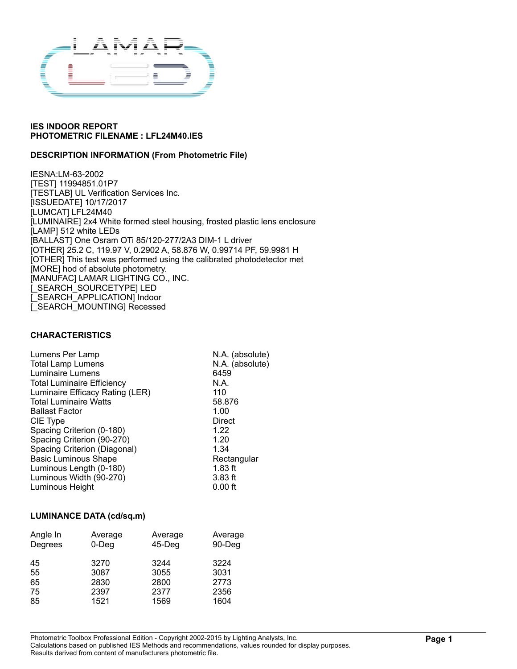

### **DESCRIPTION INFORMATION (From Photometric File)**

IESNA:LM-63-2002 [TEST] 11994851.01P7 [TESTLAB] UL Verification Services Inc. [ISSUEDATE] 10/17/2017 [LUMCAT] LFL24M40 [LUMINAIRE] 2x4 White formed steel housing, frosted plastic lens enclosure [LAMP] 512 white LEDs [BALLAST] One Osram OTi 85/120-277/2A3 DIM-1 L driver [OTHER] 25.2 C, 119.97 V, 0.2902 A, 58.876 W, 0.99714 PF, 59.9981 H [OTHER] This test was performed using the calibrated photodetector met [MORE] hod of absolute photometry. [MANUFAC] LAMAR LIGHTING CO., INC. [\_SEARCH\_SOURCETYPE] LED [\_SEARCH\_APPLICATION] Indoor [\_SEARCH\_MOUNTING] Recessed

#### **CHARACTERISTICS**

| Lumens Per Lamp                   | N.A. (absolute) |
|-----------------------------------|-----------------|
| <b>Total Lamp Lumens</b>          | N.A. (absolute) |
| Luminaire Lumens                  | 6459            |
| <b>Total Luminaire Efficiency</b> | N.A.            |
| Luminaire Efficacy Rating (LER)   | 110             |
| <b>Total Luminaire Watts</b>      | 58.876          |
| <b>Ballast Factor</b>             | 1.00            |
| CIE Type                          | Direct          |
| Spacing Criterion (0-180)         | 1.22            |
| Spacing Criterion (90-270)        | 1.20            |
| Spacing Criterion (Diagonal)      | 1.34            |
| <b>Basic Luminous Shape</b>       | Rectangular     |
| Luminous Length (0-180)           | $1.83$ ft       |
| Luminous Width (90-270)           | $3.83$ ft       |
| Luminous Height                   | $0.00$ ft       |
|                                   |                 |

#### **LUMINANCE DATA (cd/sq.m)**

| Angle In | Average | Average | Average |
|----------|---------|---------|---------|
| Degrees  | 0-Deg   | 45-Deg  | 90-Deg  |
| 45       | 3270    | 3244    | 3224    |
| 55       | 3087    | 3055    | 3031    |
| 65       | 2830    | 2800    | 2773    |
| 75       | 2397    | 2377    | 2356    |
| 85       | 1521    | 1569    | 1604    |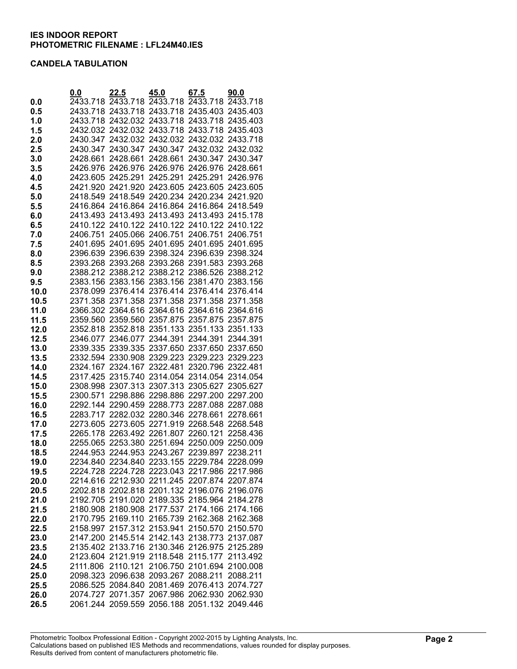#### **CANDELA TABULATION**

|              | 0.0      | 22.5                                         | 45.0                                         | 67.5              | 90.0                 |
|--------------|----------|----------------------------------------------|----------------------------------------------|-------------------|----------------------|
| 0.0          |          | 2433.718 2433.718 2433.718 2433.718 2433.718 |                                              |                   |                      |
| 0.5          |          | 2433.718 2433.718 2433.718 2435.403 2435.403 |                                              |                   |                      |
| 1.0          |          | 2433.718 2432.032 2433.718 2433.718          |                                              |                   | 2435.403             |
| 1.5          | 2432.032 |                                              | 2432.032 2433.718 2433.718                   |                   | 2435.403             |
| 2.0          | 2430.347 | 2432.032 2432.032                            |                                              | 2432.032 2433.718 |                      |
| 2.5          | 2430.347 | 2430.347                                     | 2430.347                                     | 2432.032 2432.032 |                      |
| 3.0          | 2428.661 | 2428.661                                     | 2428.661                                     | 2430.347          | 2430.347             |
| 3.5          |          | 2426.976 2426.976 2426.976 2426.976          |                                              |                   | 2428.661             |
| 4.0          |          | 2423.605 2425.291 2425.291 2425.291          |                                              |                   | 2426.976             |
| 4.5          |          | 2421.920 2421.920 2423.605 2423.605 2423.605 |                                              |                   |                      |
| 5.0          |          | 2418.549 2418.549 2420.234 2420.234 2421.920 |                                              |                   |                      |
| 5.5          |          | 2416.864 2416.864 2416.864 2416.864 2418.549 |                                              |                   |                      |
| 6.0          |          | 2413.493 2413.493 2413.493 2413.493          |                                              |                   | 2415.178             |
| 6.5          |          | 2410.122 2410.122 2410.122 2410.122 2410.122 |                                              |                   |                      |
| 7.0          |          | 2406.751 2405.066 2406.751                   |                                              | 2406.751          | 2406.751             |
| 7.5          |          | 2401.695 2401.695 2401.695                   |                                              | 2401.695          | 2401.695             |
| 8.0          |          | 2396.639 2396.639 2398.324 2396.639          |                                              |                   | 2398.324             |
| 8.5          |          | 2393.268 2393.268 2393.268 2391.583          |                                              |                   | 2393.268             |
| 9.0          |          | 2388.212 2388.212 2388.212 2386.526 2388.212 |                                              |                   |                      |
| 9.5          |          | 2383.156 2383.156 2383.156 2381.470          |                                              |                   | 2383.156             |
| 10.0         |          | 2378.099 2376.414 2376.414 2376.414 2376.414 |                                              |                   |                      |
| 10.5         |          | 2371.358 2371.358 2371.358 2371.358          |                                              |                   | 2371.358             |
| 11.0         |          | 2366.302 2364.616 2364.616 2364.616          |                                              |                   | 2364.616             |
| 11.5         |          | 2359.560 2359.560 2357.875 2357.875 2357.875 |                                              |                   |                      |
| 12.0         |          | 2352.818 2352.818 2351.133 2351.133 2351.133 |                                              |                   |                      |
| 12.5         |          | 2346.077 2346.077 2344.391                   |                                              | 2344.391          | 2344.391             |
| 13.0         |          | 2339.335 2339.335 2337.650 2337.650          |                                              |                   | 2337.650             |
| 13.5         |          | 2332.594 2330.908 2329.223 2329.223 2329.223 |                                              |                   |                      |
| 14.0         |          | 2324.167 2324.167                            | 2322.481                                     | 2320.796 2322.481 |                      |
| 14.5         |          | 2317.425 2315.740 2314.054                   |                                              | 2314.054          | 2314.054             |
| 15.0         |          | 2308.998 2307.313 2307.313 2305.627          |                                              |                   | 2305.627             |
| 15.5         |          | 2300.571 2298.886 2298.886 2297.200          |                                              |                   | 2297.200             |
| 16.0         |          | 2292.144 2290.459 2288.773 2287.088          |                                              |                   | 2287.088             |
| 16.5         |          | 2283.717 2282.032 2280.346 2278.661          |                                              |                   | 2278.661             |
| 17.0         |          | 2273.605 2273.605 2271.919 2268.548          |                                              |                   | 2268.548             |
|              |          | 2265.178 2263.492 2261.807                   |                                              | 2260.121          | 2258.436             |
| 17.5         |          | 2255.065 2253.380 2251.694 2250.009          |                                              |                   |                      |
| 18.0<br>18.5 |          | 2244.953 2244.953 2243.267                   |                                              | 2239.897          | 2250.009<br>2238.211 |
| 19.0         |          | 2234.840 2234.840 2233.155 2229.784 2228.099 |                                              |                   |                      |
| 19.5         |          | 2224.728 2224.728 2223.043 2217.986 2217.986 |                                              |                   |                      |
| 20.0         |          | 2214.616 2212.930 2211.245 2207.874 2207.874 |                                              |                   |                      |
| 20.5         |          | 2202.818 2202.818 2201.132 2196.076 2196.076 |                                              |                   |                      |
| 21.0         |          | 2192.705 2191.020 2189.335 2185.964 2184.278 |                                              |                   |                      |
| 21.5         |          | 2180.908 2180.908 2177.537 2174.166 2174.166 |                                              |                   |                      |
|              |          | 2170.795 2169.110 2165.739 2162.368 2162.368 |                                              |                   |                      |
| 22.0<br>22.5 |          | 2158.997 2157.312 2153.941 2150.570 2150.570 |                                              |                   |                      |
|              |          | 2147.200 2145.514 2142.143 2138.773 2137.087 |                                              |                   |                      |
| 23.0         |          | 2135.402 2133.716 2130.346 2126.975 2125.289 |                                              |                   |                      |
| 23.5         |          | 2123.604 2121.919 2118.548 2115.177 2113.492 |                                              |                   |                      |
| 24.0         |          | 2111.806 2110.121 2106.750 2101.694 2100.008 |                                              |                   |                      |
| 24.5         |          | 2098.323 2096.638 2093.267 2088.211 2088.211 |                                              |                   |                      |
| 25.0         |          |                                              |                                              |                   |                      |
| 25.5         |          | 2086.525 2084.840 2081.469 2076.413 2074.727 |                                              |                   |                      |
| 26.0         |          | 2074.727 2071.357 2067.986 2062.930 2062.930 |                                              |                   |                      |
| 26.5         |          |                                              | 2061.244 2059.559 2056.188 2051.132 2049.446 |                   |                      |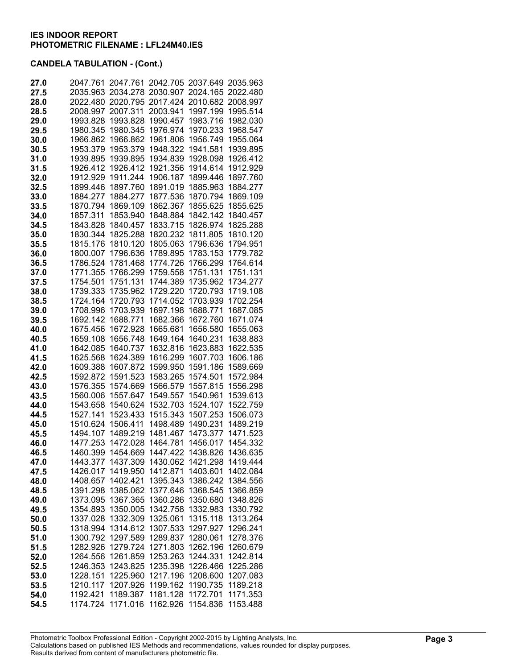| 27.0 | 2047.761 | 2047.761          |          | 2042.705 2037.649 2035.963 |          |
|------|----------|-------------------|----------|----------------------------|----------|
| 27.5 | 2035.963 | 2034.278          | 2030.907 | 2024.165                   | 2022.480 |
| 28.0 | 2022.480 | 2020.795          | 2017.424 | 2010.682                   | 2008.997 |
| 28.5 | 2008.997 | 2007.311          | 2003.941 | 1997.199                   | 1995.514 |
| 29.0 | 1993.828 | 1993.828          | 1990.457 | 1983.716                   | 1982.030 |
| 29.5 | 1980.345 | 1980.345          | 1976.974 | 1970.233                   | 1968.547 |
| 30.0 | 1966.862 | 1966.862          | 1961.806 | 1956.749                   | 1955.064 |
| 30.5 | 1953.379 | 1953.379          | 1948.322 | 1941.581                   | 1939.895 |
| 31.0 | 1939.895 | 1939.895          | 1934.839 | 1928.098                   | 1926.412 |
| 31.5 | 1926.412 | 1926.412          | 1921.356 | 1914.614                   | 1912.929 |
| 32.0 | 1912.929 | 1911.244          | 1906.187 | 1899.446                   | 1897.760 |
| 32.5 | 1899.446 | 1897.760          | 1891.019 | 1885.963                   | 1884.277 |
| 33.0 | 1884.277 | 1884.277          | 1877.536 | 1870.794                   | 1869.109 |
| 33.5 | 1870.794 | 1869.109          | 1862.367 | 1855.625                   | 1855.625 |
| 34.0 | 1857.311 | 1853.940          | 1848.884 | 1842.142                   | 1840.457 |
| 34.5 | 1843.828 | 1840.457          | 1833.715 | 1826.974                   | 1825.288 |
| 35.0 | 1830.344 | 1825.288          | 1820.232 | 1811.805                   | 1810.120 |
| 35.5 | 1815.176 | 1810.120          | 1805.063 | 1796.636                   | 1794.951 |
| 36.0 | 1800.007 | 1796.636          | 1789.895 | 1783.153                   | 1779.782 |
| 36.5 | 1786.524 | 1781.468          | 1774.726 | 1766.299                   | 1764.614 |
| 37.0 | 1771.355 | 1766.299          | 1759.558 | 1751.131                   | 1751.131 |
| 37.5 | 1754.501 | 1751.131          | 1744.389 | 1735.962                   | 1734.277 |
| 38.0 | 1739.333 | 1735.962          | 1729.220 | 1720.793                   | 1719.108 |
| 38.5 | 1724.164 | 1720.793          | 1714.052 | 1703.939                   | 1702.254 |
| 39.0 | 1708.996 | 1703.939          | 1697.198 | 1688.771                   | 1687.085 |
| 39.5 | 1692.142 | 1688.771          | 1682.366 | 1672.760                   | 1671.074 |
| 40.0 | 1675.456 | 1672.928          | 1665.681 | 1656.580                   | 1655.063 |
| 40.5 | 1659.108 | 1656.748          | 1649.164 | 1640.231                   | 1638.883 |
| 41.0 | 1642.085 | 1640.737          | 1632.816 | 1623.883                   | 1622.535 |
| 41.5 | 1625.568 | 1624.389          | 1616.299 | 1607.703                   | 1606.186 |
| 42.0 | 1609.388 | 1607.872          | 1599.950 | 1591.186                   | 1589.669 |
| 42.5 | 1592.872 | 1591.523          | 1583.265 | 1574.501                   | 1572.984 |
| 43.0 | 1576.355 | 1574.669          | 1566.579 | 1557.815                   | 1556.298 |
| 43.5 | 1560.006 | 1557.647          | 1549.557 | 1540.961                   | 1539.613 |
| 44.0 | 1543.658 | 1540.624          | 1532.703 | 1524.107                   | 1522.759 |
| 44.5 | 1527.141 | 1523.433          | 1515.343 | 1507.253                   | 1506.073 |
| 45.0 | 1510.624 | 1506.411          | 1498.489 | 1490.231                   | 1489.219 |
| 45.5 | 1494.107 | 1489.219          | 1481.467 | 1473.377                   | 1471.523 |
| 46.0 | 1477.253 | 1472.028          | 1464.781 | 1456.017                   | 1454.332 |
| 46.5 | 1460.399 | 1454.669          | 1447.422 | 1438.826                   | 1436.635 |
| 47.0 |          | 1443.377 1437.309 | 1430.062 | 1421.298                   | 1419.444 |
| 47.5 | 1426.017 | 1419.950          | 1412.871 | 1403.601                   | 1402.084 |
| 48.0 | 1408.657 | 1402.421          | 1395.343 | 1386.242                   | 1384.556 |
| 48.5 | 1391.298 | 1385.062          | 1377.646 | 1368.545                   | 1366.859 |
| 49.0 | 1373.095 | 1367.365          | 1360.286 | 1350.680                   | 1348.826 |
| 49.5 | 1354.893 | 1350.005          | 1342.758 | 1332.983                   | 1330.792 |
| 50.0 | 1337.028 | 1332.309          | 1325.061 | 1315.118                   | 1313.264 |
| 50.5 | 1318.994 | 1314.612          | 1307.533 | 1297.927                   | 1296.241 |
| 51.0 | 1300.792 | 1297.589          | 1289.837 | 1280.061                   | 1278.376 |
| 51.5 | 1282.926 | 1279.724          | 1271.803 | 1262.196                   | 1260.679 |
| 52.0 | 1264.556 | 1261.859          | 1253.263 | 1244.331                   | 1242.814 |
| 52.5 | 1246.353 | 1243.825          | 1235.398 | 1226.466                   | 1225.286 |
| 53.0 | 1228.151 | 1225.960          | 1217.196 | 1208.600                   | 1207.083 |
| 53.5 | 1210.117 | 1207.926          | 1199.162 | 1190.735                   | 1189.218 |
| 54.0 | 1192.421 | 1189.387          | 1181.128 | 1172.701                   | 1171.353 |
| 54.5 | 1174.724 | 1171.016          | 1162.926 | 1154.836                   | 1153.488 |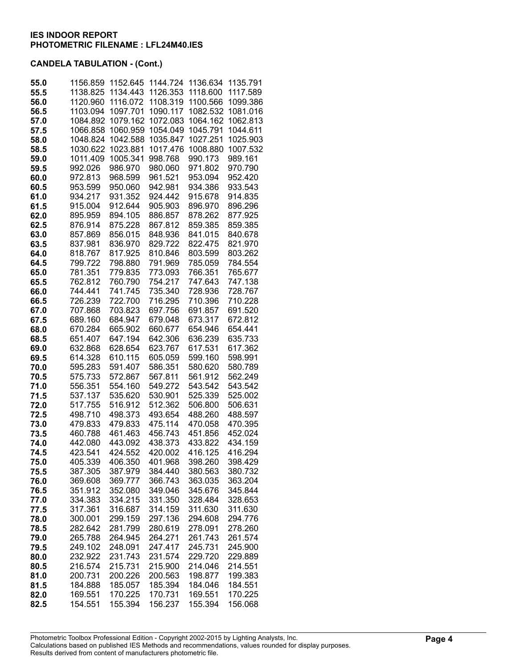| 55.0         | 1156.859             | 1152.645             | 1144.724             | 1136.634             | 1135.791             |
|--------------|----------------------|----------------------|----------------------|----------------------|----------------------|
| 55.5<br>56.0 | 1138.825<br>1120.960 | 1134.443<br>1116.072 | 1126.353<br>1108.319 | 1118.600<br>1100.566 | 1117.589<br>1099.386 |
| 56.5         | 1103.094             | 1097.701             | 1090.117             | 1082.532             | 1081.016             |
| 57.0         | 1084.892             | 1079.162             | 1072.083             | 1064.162             | 1062.813             |
| 57.5         | 1066.858             | 1060.959             | 1054.049             | 1045.791             | 1044.611             |
| 58.0         | 1048.824             | 1042.588             | 1035.847             | 1027.251             | 1025.903             |
| 58.5         | 1030.622             | 1023.881             | 1017.476             | 1008.880             | 1007.532             |
| 59.0         | 1011.409             | 1005.341             | 998.768              | 990.173              | 989.161              |
| 59.5         | 992.026              | 986.970              | 980.060              | 971.802              | 970.790              |
| 60.0         | 972.813              | 968.599              | 961.521              | 953.094              | 952.420              |
| 60.5         | 953.599              | 950.060              | 942.981              | 934.386              | 933.543              |
| 61.0         | 934.217              | 931.352              | 924.442              | 915.678              | 914.835              |
| 61.5         | 915.004              | 912.644              | 905.903              | 896.970              | 896.296              |
| 62.0         | 895.959              | 894.105              | 886.857              | 878.262              | 877.925              |
| 62.5         | 876.914              | 875.228              | 867.812              | 859.385              | 859.385              |
| 63.0         | 857.869              | 856.015              | 848.936              | 841.015              | 840.678              |
| 63.5<br>64.0 | 837.981<br>818.767   | 836.970<br>817.925   | 829.722<br>810.846   | 822.475<br>803.599   | 821.970<br>803.262   |
| 64.5         | 799.722              | 798.880              | 791.969              | 785.059              | 784.554              |
| 65.0         | 781.351              | 779.835              | 773.093              | 766.351              | 765.677              |
| 65.5         | 762.812              | 760.790              | 754.217              | 747.643              | 747.138              |
| 66.0         | 744.441              | 741.745              | 735.340              | 728.936              | 728.767              |
| 66.5         | 726.239              | 722.700              | 716.295              | 710.396              | 710.228              |
| 67.0         | 707.868              | 703.823              | 697.756              | 691.857              | 691.520              |
| 67.5         | 689.160              | 684.947              | 679.048              | 673.317              | 672.812              |
| 68.0         | 670.284              | 665.902              | 660.677              | 654.946              | 654.441              |
| 68.5         | 651.407              | 647.194              | 642.306              | 636.239              | 635.733              |
| 69.0         | 632.868              | 628.654              | 623.767              | 617.531              | 617.362              |
| 69.5         | 614.328              | 610.115              | 605.059              | 599.160              | 598.991              |
| 70.0         | 595.283              | 591.407              | 586.351              | 580.620              | 580.789              |
| 70.5         | 575.733              | 572.867              | 567.811              | 561.912              | 562.249              |
| 71.0<br>71.5 | 556.351              | 554.160              | 549.272              | 543.542              | 543.542              |
| 72.0         | 537.137<br>517.755   | 535.620<br>516.912   | 530.901<br>512.362   | 525.339<br>506.800   | 525.002<br>506.631   |
| 72.5         | 498.710              | 498.373              | 493.654              | 488.260              | 488.597              |
| 73.0         | 479.833              | 479.833              | 475.114              | 470.058              | 470.395              |
| 73.5         | 460.788              | 461.463              | 456.743              | 451.856              | 452.024              |
| 74.0         | 442.080              | 443.092              | 438.373              | 433.822              | 434.159              |
| 74.5         | 423.541              | 424.552              | 420.002              | 416.125              | 416.294              |
| 75.0         | 405.339              | 406.350              | 401.968              | 398.260              | 398.429              |
| 75.5         | 387.305              | 387.979              | 384.440              | 380.563              | 380.732              |
| 76.0         | 369.608              | 369.777              | 366.743              | 363.035              | 363.204              |
| 76.5         | 351.912              | 352.080              | 349.046              | 345.676              | 345.844              |
| 77.0         | 334.383              | 334.215              | 331.350              | 328.484              | 328.653              |
| 77.5         | 317.361              | 316.687              | 314.159              | 311.630              | 311.630              |
| 78.0         | 300.001              | 299.159              | 297.136              | 294.608              | 294.776              |
| 78.5         | 282.642              | 281.799              | 280.619<br>264.271   | 278.091              | 278.260              |
| 79.0<br>79.5 | 265.788<br>249.102   | 264.945<br>248.091   | 247.417              | 261.743<br>245.731   | 261.574<br>245.900   |
| 80.0         | 232.922              | 231.743              | 231.574              | 229.720              | 229.889              |
| 80.5         | 216.574              | 215.731              | 215.900              | 214.046              | 214.551              |
| 81.0         | 200.731              | 200.226              | 200.563              | 198.877              | 199.383              |
| 81.5         | 184.888              | 185.057              | 185.394              | 184.046              | 184.551              |
| 82.0         | 169.551              | 170.225              | 170.731              | 169.551              | 170.225              |
| 82.5         | 154.551              | 155.394              | 156.237              | 155.394              | 156.068              |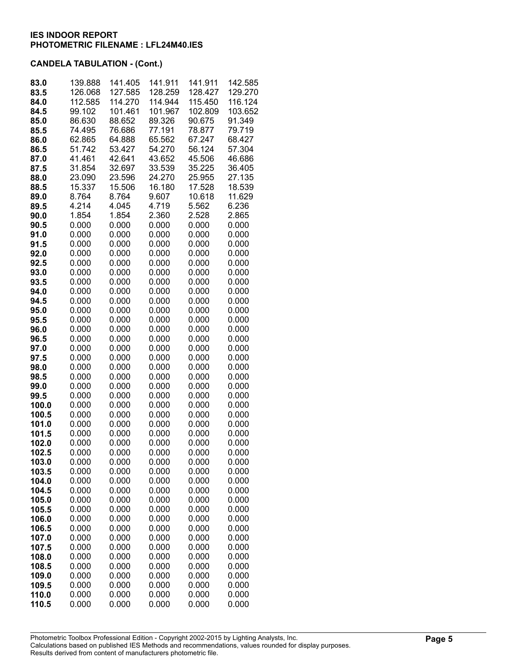| 83.0           | 139.888<br>126.068 | 141.405<br>127.585 | 141.911<br>128.259 | 141.911<br>128.427 | 142.585<br>129.270 |
|----------------|--------------------|--------------------|--------------------|--------------------|--------------------|
| 83.5<br>84.0   | 112.585            | 114.270            | 114.944            | 115.450            | 116.124            |
| 84.5           | 99.102             | 101.461            | 101.967            | 102.809            | 103.652            |
| 85.0           | 86.630             | 88.652             | 89.326             | 90.675             | 91.349             |
| 85.5           | 74.495             | 76.686             | 77.191             | 78.877             | 79.719             |
| 86.0           | 62.865             | 64.888             | 65.562             | 67.247             | 68.427             |
| 86.5           | 51.742             | 53.427             | 54.270             | 56.124             | 57.304             |
| 87.0           | 41.461             | 42.641             | 43.652             | 45.506             | 46.686             |
| 87.5           | 31.854             | 32.697             | 33.539             | 35.225             | 36.405             |
| 88.0           | 23.090             | 23.596             | 24.270             | 25.955             | 27.135             |
| 88.5           | 15.337             | 15.506             | 16.180             | 17.528             | 18.539             |
| 89.0           | 8.764              | 8.764              | 9.607              | 10.618             | 11.629             |
| 89.5           | 4.214              | 4.045              | 4.719              | 5.562              | 6.236              |
| 90.0           | 1.854              | 1.854              | 2.360              | 2.528              | 2.865              |
| 90.5           | 0.000              | 0.000              | 0.000              | 0.000              | 0.000              |
| 91.0<br>91.5   | 0.000<br>0.000     | 0.000<br>0.000     | 0.000<br>0.000     | 0.000<br>0.000     | 0.000<br>0.000     |
| 92.0           | 0.000              | 0.000              | 0.000              | 0.000              | 0.000              |
| 92.5           | 0.000              | 0.000              | 0.000              | 0.000              | 0.000              |
| 93.0           | 0.000              | 0.000              | 0.000              | 0.000              | 0.000              |
| 93.5           | 0.000              | 0.000              | 0.000              | 0.000              | 0.000              |
| 94.0           | 0.000              | 0.000              | 0.000              | 0.000              | 0.000              |
| 94.5           | 0.000              | 0.000              | 0.000              | 0.000              | 0.000              |
| 95.0           | 0.000              | 0.000              | 0.000              | 0.000              | 0.000              |
| 95.5           | 0.000              | 0.000              | 0.000              | 0.000              | 0.000              |
| 96.0           | 0.000              | 0.000              | 0.000              | 0.000              | 0.000              |
| 96.5           | 0.000              | 0.000              | 0.000              | 0.000              | 0.000              |
| 97.0           | 0.000              | 0.000              | 0.000              | 0.000              | 0.000              |
| 97.5           | 0.000              | 0.000              | 0.000              | 0.000              | 0.000              |
| 98.0           | 0.000              | 0.000              | 0.000              | 0.000              | 0.000              |
| 98.5<br>99.0   | 0.000<br>0.000     | 0.000<br>0.000     | 0.000<br>0.000     | 0.000<br>0.000     | 0.000<br>0.000     |
| 99.5           | 0.000              | 0.000              | 0.000              | 0.000              | 0.000              |
| 100.0          | 0.000              | 0.000              | 0.000              | 0.000              | 0.000              |
| 100.5          | 0.000              | 0.000              | 0.000              | 0.000              | 0.000              |
| 101.0          | 0.000              | 0.000              | 0.000              | 0.000              | 0.000              |
| 101.5          | 0.000              | 0.000              | 0.000              | 0.000              | 0.000              |
| 102.0          | 0.000              | 0.000              | 0.000              | 0.000              | 0.000              |
| 102.5          | 0.000              | 0.000              | 0.000              | 0.000              | 0.000              |
| 103.0          | 0.000              | 0.000              | 0.000              | 0.000              | 0.000              |
| 103.5          | 0.000              | 0.000              | 0.000              | 0.000              | 0.000              |
| 104.0          | 0.000              | 0.000              | 0.000              | 0.000              | 0.000              |
| 104.5          | 0.000              | 0.000              | 0.000              | 0.000              | 0.000              |
| 105.0          | 0.000              | 0.000<br>0.000     | 0.000              | 0.000              | 0.000              |
| 105.5<br>106.0 | 0.000<br>0.000     | 0.000              | 0.000<br>0.000     | 0.000<br>0.000     | 0.000<br>0.000     |
| 106.5          | 0.000              | 0.000              | 0.000              | 0.000              | 0.000              |
| 107.0          | 0.000              | 0.000              | 0.000              | 0.000              | 0.000              |
| 107.5          | 0.000              | 0.000              | 0.000              | 0.000              | 0.000              |
| 108.0          | 0.000              | 0.000              | 0.000              | 0.000              | 0.000              |
| 108.5          | 0.000              | 0.000              | 0.000              | 0.000              | 0.000              |
| 109.0          | 0.000              | 0.000              | 0.000              | 0.000              | 0.000              |
| 109.5          | 0.000              | 0.000              | 0.000              | 0.000              | 0.000              |
| 110.0          | 0.000              | 0.000              | 0.000              | 0.000              | 0.000              |
| 110.5          | 0.000              | 0.000              | 0.000              | 0.000              | 0.000              |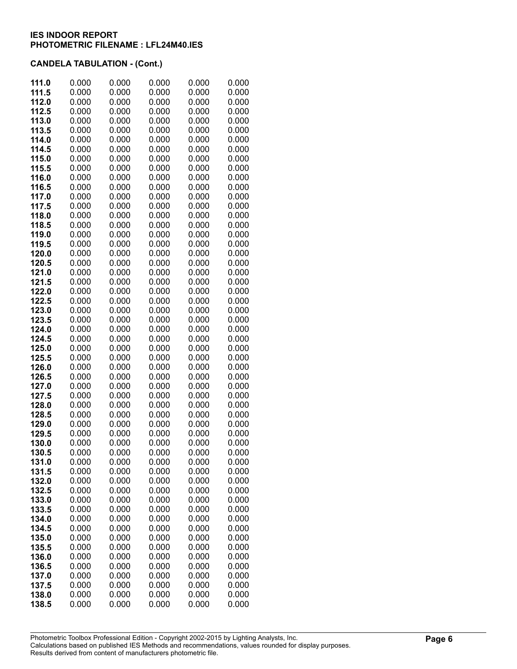| 111.5<br>0.000<br>0.000<br>0.000<br>0.000<br>0.000<br>112.0<br>0.000<br>0.000<br>0.000<br>0.000<br>0.000<br>112.5<br>0.000<br>0.000<br>0.000<br>0.000<br>0.000<br>113.0<br>0.000<br>0.000<br>0.000<br>0.000<br>0.000<br>0.000<br>113.5<br>0.000<br>0.000<br>0.000<br>0.000<br>114.0<br>0.000<br>0.000<br>0.000<br>0.000<br>0.000<br>114.5<br>0.000<br>0.000<br>0.000<br>0.000<br>0.000<br>0.000<br>0.000<br>115.0<br>0.000<br>0.000<br>0.000<br>115.5<br>0.000<br>0.000<br>0.000<br>0.000<br>0.000<br>0.000<br>0.000<br>0.000<br>0.000<br>116.0<br>0.000<br>116.5<br>0.000<br>0.000<br>0.000<br>0.000<br>0.000<br>0.000<br>0.000<br>0.000<br>0.000<br>0.000<br>117.0<br>0.000<br>0.000<br>0.000<br>0.000<br>0.000<br>117.5<br>118.0<br>0.000<br>0.000<br>0.000<br>0.000<br>0.000<br>118.5<br>0.000<br>0.000<br>0.000<br>0.000<br>0.000<br>119.0<br>0.000<br>0.000<br>0.000<br>0.000<br>0.000<br>119.5<br>0.000<br>0.000<br>0.000<br>0.000<br>0.000<br>120.0<br>0.000<br>0.000<br>0.000<br>0.000<br>0.000<br>120.5<br>0.000<br>0.000<br>0.000<br>0.000<br>0.000<br>121.0<br>0.000<br>0.000<br>0.000<br>0.000<br>0.000<br>121.5<br>0.000<br>0.000<br>0.000<br>0.000<br>0.000<br>122.0<br>0.000<br>0.000<br>0.000<br>0.000<br>0.000<br>0.000<br>0.000<br>122.5<br>0.000<br>0.000<br>0.000<br>0.000<br>123.0<br>0.000<br>0.000<br>0.000<br>0.000<br>123.5<br>0.000<br>0.000<br>0.000<br>0.000<br>0.000<br>0.000<br>124.0<br>0.000<br>0.000<br>0.000<br>0.000<br>124.5<br>0.000<br>0.000<br>0.000<br>0.000<br>0.000<br>125.0<br>0.000<br>0.000<br>0.000<br>0.000<br>0.000<br>125.5<br>0.000<br>0.000<br>0.000<br>0.000<br>0.000<br>126.0<br>0.000<br>0.000<br>0.000<br>0.000<br>0.000<br>0.000<br>0.000<br>0.000<br>126.5<br>0.000<br>0.000<br>127.0<br>0.000<br>0.000<br>0.000<br>0.000<br>0.000<br>0.000<br>0.000<br>0.000<br>0.000<br>127.5<br>0.000<br>0.000<br>0.000<br>0.000<br>0.000<br>0.000<br>128.0<br>0.000<br>0.000<br>0.000<br>0.000<br>0.000<br>128.5<br>0.000<br>0.000<br>0.000<br>0.000<br>0.000<br>129.0<br>0.000<br>129.5<br>0.000<br>0.000<br>0.000<br>0.000<br>0.000<br>0.000<br>0.000<br>0.000<br>0.000<br>130.0<br>0.000<br>0.000<br>0.000<br>0.000<br>0.000<br>130.5<br>131.0<br>0.000<br>0.000<br>0.000<br>0.000<br>0.000<br>131.5<br>0.000<br>0.000<br>0.000<br>0.000<br>0.000<br>132.0<br>0.000<br>0.000<br>0.000<br>0.000<br>0.000<br>132.5<br>0.000<br>0.000<br>0.000<br>0.000<br>0.000<br>0.000<br>0.000<br>0.000<br>0.000<br>133.0<br>0.000<br>0.000<br>0.000<br>133.5<br>0.000<br>0.000<br>0.000<br>0.000<br>0.000<br>0.000<br>0.000<br>0.000<br>134.0<br>0.000<br>0.000<br>0.000<br>0.000<br>0.000<br>134.5<br>0.000<br>0.000<br>0.000<br>0.000<br>0.000<br>135.0<br>0.000<br>0.000<br>0.000<br>0.000<br>0.000<br>135.5<br>0.000<br>0.000<br>0.000<br>0.000<br>0.000<br>136.0<br>0.000<br>0.000<br>0.000<br>0.000<br>0.000<br>136.5<br>0.000<br>0.000<br>0.000<br>0.000<br>137.0<br>0.000<br>0.000<br>0.000<br>0.000<br>137.5<br>0.000<br>0.000<br>138.0<br>0.000<br>0.000<br>0.000<br>0.000<br>0.000<br>138.5<br>0.000<br>0.000<br>0.000<br>0.000<br>0.000 | 111.0 | 0.000 | 0.000 | 0.000 | 0.000 | 0.000 |
|----------------------------------------------------------------------------------------------------------------------------------------------------------------------------------------------------------------------------------------------------------------------------------------------------------------------------------------------------------------------------------------------------------------------------------------------------------------------------------------------------------------------------------------------------------------------------------------------------------------------------------------------------------------------------------------------------------------------------------------------------------------------------------------------------------------------------------------------------------------------------------------------------------------------------------------------------------------------------------------------------------------------------------------------------------------------------------------------------------------------------------------------------------------------------------------------------------------------------------------------------------------------------------------------------------------------------------------------------------------------------------------------------------------------------------------------------------------------------------------------------------------------------------------------------------------------------------------------------------------------------------------------------------------------------------------------------------------------------------------------------------------------------------------------------------------------------------------------------------------------------------------------------------------------------------------------------------------------------------------------------------------------------------------------------------------------------------------------------------------------------------------------------------------------------------------------------------------------------------------------------------------------------------------------------------------------------------------------------------------------------------------------------------------------------------------------------------------------------------------------------------------------------------------------------------------------------------------------------------------------------------------------------------------------------------------------------------------------------------------------------------------------------------------------------------------------------------------------------------------------------------------------------------------------------------------------------------------------------------------------------------------------------------------------------------------------------------------|-------|-------|-------|-------|-------|-------|
|                                                                                                                                                                                                                                                                                                                                                                                                                                                                                                                                                                                                                                                                                                                                                                                                                                                                                                                                                                                                                                                                                                                                                                                                                                                                                                                                                                                                                                                                                                                                                                                                                                                                                                                                                                                                                                                                                                                                                                                                                                                                                                                                                                                                                                                                                                                                                                                                                                                                                                                                                                                                                                                                                                                                                                                                                                                                                                                                                                                                                                                                                        |       |       |       |       |       |       |
|                                                                                                                                                                                                                                                                                                                                                                                                                                                                                                                                                                                                                                                                                                                                                                                                                                                                                                                                                                                                                                                                                                                                                                                                                                                                                                                                                                                                                                                                                                                                                                                                                                                                                                                                                                                                                                                                                                                                                                                                                                                                                                                                                                                                                                                                                                                                                                                                                                                                                                                                                                                                                                                                                                                                                                                                                                                                                                                                                                                                                                                                                        |       |       |       |       |       |       |
|                                                                                                                                                                                                                                                                                                                                                                                                                                                                                                                                                                                                                                                                                                                                                                                                                                                                                                                                                                                                                                                                                                                                                                                                                                                                                                                                                                                                                                                                                                                                                                                                                                                                                                                                                                                                                                                                                                                                                                                                                                                                                                                                                                                                                                                                                                                                                                                                                                                                                                                                                                                                                                                                                                                                                                                                                                                                                                                                                                                                                                                                                        |       |       |       |       |       |       |
|                                                                                                                                                                                                                                                                                                                                                                                                                                                                                                                                                                                                                                                                                                                                                                                                                                                                                                                                                                                                                                                                                                                                                                                                                                                                                                                                                                                                                                                                                                                                                                                                                                                                                                                                                                                                                                                                                                                                                                                                                                                                                                                                                                                                                                                                                                                                                                                                                                                                                                                                                                                                                                                                                                                                                                                                                                                                                                                                                                                                                                                                                        |       |       |       |       |       |       |
|                                                                                                                                                                                                                                                                                                                                                                                                                                                                                                                                                                                                                                                                                                                                                                                                                                                                                                                                                                                                                                                                                                                                                                                                                                                                                                                                                                                                                                                                                                                                                                                                                                                                                                                                                                                                                                                                                                                                                                                                                                                                                                                                                                                                                                                                                                                                                                                                                                                                                                                                                                                                                                                                                                                                                                                                                                                                                                                                                                                                                                                                                        |       |       |       |       |       |       |
|                                                                                                                                                                                                                                                                                                                                                                                                                                                                                                                                                                                                                                                                                                                                                                                                                                                                                                                                                                                                                                                                                                                                                                                                                                                                                                                                                                                                                                                                                                                                                                                                                                                                                                                                                                                                                                                                                                                                                                                                                                                                                                                                                                                                                                                                                                                                                                                                                                                                                                                                                                                                                                                                                                                                                                                                                                                                                                                                                                                                                                                                                        |       |       |       |       |       |       |
|                                                                                                                                                                                                                                                                                                                                                                                                                                                                                                                                                                                                                                                                                                                                                                                                                                                                                                                                                                                                                                                                                                                                                                                                                                                                                                                                                                                                                                                                                                                                                                                                                                                                                                                                                                                                                                                                                                                                                                                                                                                                                                                                                                                                                                                                                                                                                                                                                                                                                                                                                                                                                                                                                                                                                                                                                                                                                                                                                                                                                                                                                        |       |       |       |       |       |       |
|                                                                                                                                                                                                                                                                                                                                                                                                                                                                                                                                                                                                                                                                                                                                                                                                                                                                                                                                                                                                                                                                                                                                                                                                                                                                                                                                                                                                                                                                                                                                                                                                                                                                                                                                                                                                                                                                                                                                                                                                                                                                                                                                                                                                                                                                                                                                                                                                                                                                                                                                                                                                                                                                                                                                                                                                                                                                                                                                                                                                                                                                                        |       |       |       |       |       |       |
|                                                                                                                                                                                                                                                                                                                                                                                                                                                                                                                                                                                                                                                                                                                                                                                                                                                                                                                                                                                                                                                                                                                                                                                                                                                                                                                                                                                                                                                                                                                                                                                                                                                                                                                                                                                                                                                                                                                                                                                                                                                                                                                                                                                                                                                                                                                                                                                                                                                                                                                                                                                                                                                                                                                                                                                                                                                                                                                                                                                                                                                                                        |       |       |       |       |       |       |
|                                                                                                                                                                                                                                                                                                                                                                                                                                                                                                                                                                                                                                                                                                                                                                                                                                                                                                                                                                                                                                                                                                                                                                                                                                                                                                                                                                                                                                                                                                                                                                                                                                                                                                                                                                                                                                                                                                                                                                                                                                                                                                                                                                                                                                                                                                                                                                                                                                                                                                                                                                                                                                                                                                                                                                                                                                                                                                                                                                                                                                                                                        |       |       |       |       |       |       |
|                                                                                                                                                                                                                                                                                                                                                                                                                                                                                                                                                                                                                                                                                                                                                                                                                                                                                                                                                                                                                                                                                                                                                                                                                                                                                                                                                                                                                                                                                                                                                                                                                                                                                                                                                                                                                                                                                                                                                                                                                                                                                                                                                                                                                                                                                                                                                                                                                                                                                                                                                                                                                                                                                                                                                                                                                                                                                                                                                                                                                                                                                        |       |       |       |       |       |       |
|                                                                                                                                                                                                                                                                                                                                                                                                                                                                                                                                                                                                                                                                                                                                                                                                                                                                                                                                                                                                                                                                                                                                                                                                                                                                                                                                                                                                                                                                                                                                                                                                                                                                                                                                                                                                                                                                                                                                                                                                                                                                                                                                                                                                                                                                                                                                                                                                                                                                                                                                                                                                                                                                                                                                                                                                                                                                                                                                                                                                                                                                                        |       |       |       |       |       |       |
|                                                                                                                                                                                                                                                                                                                                                                                                                                                                                                                                                                                                                                                                                                                                                                                                                                                                                                                                                                                                                                                                                                                                                                                                                                                                                                                                                                                                                                                                                                                                                                                                                                                                                                                                                                                                                                                                                                                                                                                                                                                                                                                                                                                                                                                                                                                                                                                                                                                                                                                                                                                                                                                                                                                                                                                                                                                                                                                                                                                                                                                                                        |       |       |       |       |       |       |
|                                                                                                                                                                                                                                                                                                                                                                                                                                                                                                                                                                                                                                                                                                                                                                                                                                                                                                                                                                                                                                                                                                                                                                                                                                                                                                                                                                                                                                                                                                                                                                                                                                                                                                                                                                                                                                                                                                                                                                                                                                                                                                                                                                                                                                                                                                                                                                                                                                                                                                                                                                                                                                                                                                                                                                                                                                                                                                                                                                                                                                                                                        |       |       |       |       |       |       |
|                                                                                                                                                                                                                                                                                                                                                                                                                                                                                                                                                                                                                                                                                                                                                                                                                                                                                                                                                                                                                                                                                                                                                                                                                                                                                                                                                                                                                                                                                                                                                                                                                                                                                                                                                                                                                                                                                                                                                                                                                                                                                                                                                                                                                                                                                                                                                                                                                                                                                                                                                                                                                                                                                                                                                                                                                                                                                                                                                                                                                                                                                        |       |       |       |       |       |       |
|                                                                                                                                                                                                                                                                                                                                                                                                                                                                                                                                                                                                                                                                                                                                                                                                                                                                                                                                                                                                                                                                                                                                                                                                                                                                                                                                                                                                                                                                                                                                                                                                                                                                                                                                                                                                                                                                                                                                                                                                                                                                                                                                                                                                                                                                                                                                                                                                                                                                                                                                                                                                                                                                                                                                                                                                                                                                                                                                                                                                                                                                                        |       |       |       |       |       |       |
|                                                                                                                                                                                                                                                                                                                                                                                                                                                                                                                                                                                                                                                                                                                                                                                                                                                                                                                                                                                                                                                                                                                                                                                                                                                                                                                                                                                                                                                                                                                                                                                                                                                                                                                                                                                                                                                                                                                                                                                                                                                                                                                                                                                                                                                                                                                                                                                                                                                                                                                                                                                                                                                                                                                                                                                                                                                                                                                                                                                                                                                                                        |       |       |       |       |       |       |
|                                                                                                                                                                                                                                                                                                                                                                                                                                                                                                                                                                                                                                                                                                                                                                                                                                                                                                                                                                                                                                                                                                                                                                                                                                                                                                                                                                                                                                                                                                                                                                                                                                                                                                                                                                                                                                                                                                                                                                                                                                                                                                                                                                                                                                                                                                                                                                                                                                                                                                                                                                                                                                                                                                                                                                                                                                                                                                                                                                                                                                                                                        |       |       |       |       |       |       |
|                                                                                                                                                                                                                                                                                                                                                                                                                                                                                                                                                                                                                                                                                                                                                                                                                                                                                                                                                                                                                                                                                                                                                                                                                                                                                                                                                                                                                                                                                                                                                                                                                                                                                                                                                                                                                                                                                                                                                                                                                                                                                                                                                                                                                                                                                                                                                                                                                                                                                                                                                                                                                                                                                                                                                                                                                                                                                                                                                                                                                                                                                        |       |       |       |       |       |       |
|                                                                                                                                                                                                                                                                                                                                                                                                                                                                                                                                                                                                                                                                                                                                                                                                                                                                                                                                                                                                                                                                                                                                                                                                                                                                                                                                                                                                                                                                                                                                                                                                                                                                                                                                                                                                                                                                                                                                                                                                                                                                                                                                                                                                                                                                                                                                                                                                                                                                                                                                                                                                                                                                                                                                                                                                                                                                                                                                                                                                                                                                                        |       |       |       |       |       |       |
|                                                                                                                                                                                                                                                                                                                                                                                                                                                                                                                                                                                                                                                                                                                                                                                                                                                                                                                                                                                                                                                                                                                                                                                                                                                                                                                                                                                                                                                                                                                                                                                                                                                                                                                                                                                                                                                                                                                                                                                                                                                                                                                                                                                                                                                                                                                                                                                                                                                                                                                                                                                                                                                                                                                                                                                                                                                                                                                                                                                                                                                                                        |       |       |       |       |       |       |
|                                                                                                                                                                                                                                                                                                                                                                                                                                                                                                                                                                                                                                                                                                                                                                                                                                                                                                                                                                                                                                                                                                                                                                                                                                                                                                                                                                                                                                                                                                                                                                                                                                                                                                                                                                                                                                                                                                                                                                                                                                                                                                                                                                                                                                                                                                                                                                                                                                                                                                                                                                                                                                                                                                                                                                                                                                                                                                                                                                                                                                                                                        |       |       |       |       |       |       |
|                                                                                                                                                                                                                                                                                                                                                                                                                                                                                                                                                                                                                                                                                                                                                                                                                                                                                                                                                                                                                                                                                                                                                                                                                                                                                                                                                                                                                                                                                                                                                                                                                                                                                                                                                                                                                                                                                                                                                                                                                                                                                                                                                                                                                                                                                                                                                                                                                                                                                                                                                                                                                                                                                                                                                                                                                                                                                                                                                                                                                                                                                        |       |       |       |       |       |       |
|                                                                                                                                                                                                                                                                                                                                                                                                                                                                                                                                                                                                                                                                                                                                                                                                                                                                                                                                                                                                                                                                                                                                                                                                                                                                                                                                                                                                                                                                                                                                                                                                                                                                                                                                                                                                                                                                                                                                                                                                                                                                                                                                                                                                                                                                                                                                                                                                                                                                                                                                                                                                                                                                                                                                                                                                                                                                                                                                                                                                                                                                                        |       |       |       |       |       |       |
|                                                                                                                                                                                                                                                                                                                                                                                                                                                                                                                                                                                                                                                                                                                                                                                                                                                                                                                                                                                                                                                                                                                                                                                                                                                                                                                                                                                                                                                                                                                                                                                                                                                                                                                                                                                                                                                                                                                                                                                                                                                                                                                                                                                                                                                                                                                                                                                                                                                                                                                                                                                                                                                                                                                                                                                                                                                                                                                                                                                                                                                                                        |       |       |       |       |       |       |
|                                                                                                                                                                                                                                                                                                                                                                                                                                                                                                                                                                                                                                                                                                                                                                                                                                                                                                                                                                                                                                                                                                                                                                                                                                                                                                                                                                                                                                                                                                                                                                                                                                                                                                                                                                                                                                                                                                                                                                                                                                                                                                                                                                                                                                                                                                                                                                                                                                                                                                                                                                                                                                                                                                                                                                                                                                                                                                                                                                                                                                                                                        |       |       |       |       |       |       |
|                                                                                                                                                                                                                                                                                                                                                                                                                                                                                                                                                                                                                                                                                                                                                                                                                                                                                                                                                                                                                                                                                                                                                                                                                                                                                                                                                                                                                                                                                                                                                                                                                                                                                                                                                                                                                                                                                                                                                                                                                                                                                                                                                                                                                                                                                                                                                                                                                                                                                                                                                                                                                                                                                                                                                                                                                                                                                                                                                                                                                                                                                        |       |       |       |       |       |       |
|                                                                                                                                                                                                                                                                                                                                                                                                                                                                                                                                                                                                                                                                                                                                                                                                                                                                                                                                                                                                                                                                                                                                                                                                                                                                                                                                                                                                                                                                                                                                                                                                                                                                                                                                                                                                                                                                                                                                                                                                                                                                                                                                                                                                                                                                                                                                                                                                                                                                                                                                                                                                                                                                                                                                                                                                                                                                                                                                                                                                                                                                                        |       |       |       |       |       |       |
|                                                                                                                                                                                                                                                                                                                                                                                                                                                                                                                                                                                                                                                                                                                                                                                                                                                                                                                                                                                                                                                                                                                                                                                                                                                                                                                                                                                                                                                                                                                                                                                                                                                                                                                                                                                                                                                                                                                                                                                                                                                                                                                                                                                                                                                                                                                                                                                                                                                                                                                                                                                                                                                                                                                                                                                                                                                                                                                                                                                                                                                                                        |       |       |       |       |       |       |
|                                                                                                                                                                                                                                                                                                                                                                                                                                                                                                                                                                                                                                                                                                                                                                                                                                                                                                                                                                                                                                                                                                                                                                                                                                                                                                                                                                                                                                                                                                                                                                                                                                                                                                                                                                                                                                                                                                                                                                                                                                                                                                                                                                                                                                                                                                                                                                                                                                                                                                                                                                                                                                                                                                                                                                                                                                                                                                                                                                                                                                                                                        |       |       |       |       |       |       |
|                                                                                                                                                                                                                                                                                                                                                                                                                                                                                                                                                                                                                                                                                                                                                                                                                                                                                                                                                                                                                                                                                                                                                                                                                                                                                                                                                                                                                                                                                                                                                                                                                                                                                                                                                                                                                                                                                                                                                                                                                                                                                                                                                                                                                                                                                                                                                                                                                                                                                                                                                                                                                                                                                                                                                                                                                                                                                                                                                                                                                                                                                        |       |       |       |       |       |       |
|                                                                                                                                                                                                                                                                                                                                                                                                                                                                                                                                                                                                                                                                                                                                                                                                                                                                                                                                                                                                                                                                                                                                                                                                                                                                                                                                                                                                                                                                                                                                                                                                                                                                                                                                                                                                                                                                                                                                                                                                                                                                                                                                                                                                                                                                                                                                                                                                                                                                                                                                                                                                                                                                                                                                                                                                                                                                                                                                                                                                                                                                                        |       |       |       |       |       |       |
|                                                                                                                                                                                                                                                                                                                                                                                                                                                                                                                                                                                                                                                                                                                                                                                                                                                                                                                                                                                                                                                                                                                                                                                                                                                                                                                                                                                                                                                                                                                                                                                                                                                                                                                                                                                                                                                                                                                                                                                                                                                                                                                                                                                                                                                                                                                                                                                                                                                                                                                                                                                                                                                                                                                                                                                                                                                                                                                                                                                                                                                                                        |       |       |       |       |       |       |
|                                                                                                                                                                                                                                                                                                                                                                                                                                                                                                                                                                                                                                                                                                                                                                                                                                                                                                                                                                                                                                                                                                                                                                                                                                                                                                                                                                                                                                                                                                                                                                                                                                                                                                                                                                                                                                                                                                                                                                                                                                                                                                                                                                                                                                                                                                                                                                                                                                                                                                                                                                                                                                                                                                                                                                                                                                                                                                                                                                                                                                                                                        |       |       |       |       |       |       |
|                                                                                                                                                                                                                                                                                                                                                                                                                                                                                                                                                                                                                                                                                                                                                                                                                                                                                                                                                                                                                                                                                                                                                                                                                                                                                                                                                                                                                                                                                                                                                                                                                                                                                                                                                                                                                                                                                                                                                                                                                                                                                                                                                                                                                                                                                                                                                                                                                                                                                                                                                                                                                                                                                                                                                                                                                                                                                                                                                                                                                                                                                        |       |       |       |       |       |       |
|                                                                                                                                                                                                                                                                                                                                                                                                                                                                                                                                                                                                                                                                                                                                                                                                                                                                                                                                                                                                                                                                                                                                                                                                                                                                                                                                                                                                                                                                                                                                                                                                                                                                                                                                                                                                                                                                                                                                                                                                                                                                                                                                                                                                                                                                                                                                                                                                                                                                                                                                                                                                                                                                                                                                                                                                                                                                                                                                                                                                                                                                                        |       |       |       |       |       |       |
|                                                                                                                                                                                                                                                                                                                                                                                                                                                                                                                                                                                                                                                                                                                                                                                                                                                                                                                                                                                                                                                                                                                                                                                                                                                                                                                                                                                                                                                                                                                                                                                                                                                                                                                                                                                                                                                                                                                                                                                                                                                                                                                                                                                                                                                                                                                                                                                                                                                                                                                                                                                                                                                                                                                                                                                                                                                                                                                                                                                                                                                                                        |       |       |       |       |       |       |
|                                                                                                                                                                                                                                                                                                                                                                                                                                                                                                                                                                                                                                                                                                                                                                                                                                                                                                                                                                                                                                                                                                                                                                                                                                                                                                                                                                                                                                                                                                                                                                                                                                                                                                                                                                                                                                                                                                                                                                                                                                                                                                                                                                                                                                                                                                                                                                                                                                                                                                                                                                                                                                                                                                                                                                                                                                                                                                                                                                                                                                                                                        |       |       |       |       |       |       |
|                                                                                                                                                                                                                                                                                                                                                                                                                                                                                                                                                                                                                                                                                                                                                                                                                                                                                                                                                                                                                                                                                                                                                                                                                                                                                                                                                                                                                                                                                                                                                                                                                                                                                                                                                                                                                                                                                                                                                                                                                                                                                                                                                                                                                                                                                                                                                                                                                                                                                                                                                                                                                                                                                                                                                                                                                                                                                                                                                                                                                                                                                        |       |       |       |       |       |       |
|                                                                                                                                                                                                                                                                                                                                                                                                                                                                                                                                                                                                                                                                                                                                                                                                                                                                                                                                                                                                                                                                                                                                                                                                                                                                                                                                                                                                                                                                                                                                                                                                                                                                                                                                                                                                                                                                                                                                                                                                                                                                                                                                                                                                                                                                                                                                                                                                                                                                                                                                                                                                                                                                                                                                                                                                                                                                                                                                                                                                                                                                                        |       |       |       |       |       |       |
|                                                                                                                                                                                                                                                                                                                                                                                                                                                                                                                                                                                                                                                                                                                                                                                                                                                                                                                                                                                                                                                                                                                                                                                                                                                                                                                                                                                                                                                                                                                                                                                                                                                                                                                                                                                                                                                                                                                                                                                                                                                                                                                                                                                                                                                                                                                                                                                                                                                                                                                                                                                                                                                                                                                                                                                                                                                                                                                                                                                                                                                                                        |       |       |       |       |       |       |
|                                                                                                                                                                                                                                                                                                                                                                                                                                                                                                                                                                                                                                                                                                                                                                                                                                                                                                                                                                                                                                                                                                                                                                                                                                                                                                                                                                                                                                                                                                                                                                                                                                                                                                                                                                                                                                                                                                                                                                                                                                                                                                                                                                                                                                                                                                                                                                                                                                                                                                                                                                                                                                                                                                                                                                                                                                                                                                                                                                                                                                                                                        |       |       |       |       |       |       |
|                                                                                                                                                                                                                                                                                                                                                                                                                                                                                                                                                                                                                                                                                                                                                                                                                                                                                                                                                                                                                                                                                                                                                                                                                                                                                                                                                                                                                                                                                                                                                                                                                                                                                                                                                                                                                                                                                                                                                                                                                                                                                                                                                                                                                                                                                                                                                                                                                                                                                                                                                                                                                                                                                                                                                                                                                                                                                                                                                                                                                                                                                        |       |       |       |       |       |       |
|                                                                                                                                                                                                                                                                                                                                                                                                                                                                                                                                                                                                                                                                                                                                                                                                                                                                                                                                                                                                                                                                                                                                                                                                                                                                                                                                                                                                                                                                                                                                                                                                                                                                                                                                                                                                                                                                                                                                                                                                                                                                                                                                                                                                                                                                                                                                                                                                                                                                                                                                                                                                                                                                                                                                                                                                                                                                                                                                                                                                                                                                                        |       |       |       |       |       |       |
|                                                                                                                                                                                                                                                                                                                                                                                                                                                                                                                                                                                                                                                                                                                                                                                                                                                                                                                                                                                                                                                                                                                                                                                                                                                                                                                                                                                                                                                                                                                                                                                                                                                                                                                                                                                                                                                                                                                                                                                                                                                                                                                                                                                                                                                                                                                                                                                                                                                                                                                                                                                                                                                                                                                                                                                                                                                                                                                                                                                                                                                                                        |       |       |       |       |       |       |
|                                                                                                                                                                                                                                                                                                                                                                                                                                                                                                                                                                                                                                                                                                                                                                                                                                                                                                                                                                                                                                                                                                                                                                                                                                                                                                                                                                                                                                                                                                                                                                                                                                                                                                                                                                                                                                                                                                                                                                                                                                                                                                                                                                                                                                                                                                                                                                                                                                                                                                                                                                                                                                                                                                                                                                                                                                                                                                                                                                                                                                                                                        |       |       |       |       |       |       |
|                                                                                                                                                                                                                                                                                                                                                                                                                                                                                                                                                                                                                                                                                                                                                                                                                                                                                                                                                                                                                                                                                                                                                                                                                                                                                                                                                                                                                                                                                                                                                                                                                                                                                                                                                                                                                                                                                                                                                                                                                                                                                                                                                                                                                                                                                                                                                                                                                                                                                                                                                                                                                                                                                                                                                                                                                                                                                                                                                                                                                                                                                        |       |       |       |       |       |       |
|                                                                                                                                                                                                                                                                                                                                                                                                                                                                                                                                                                                                                                                                                                                                                                                                                                                                                                                                                                                                                                                                                                                                                                                                                                                                                                                                                                                                                                                                                                                                                                                                                                                                                                                                                                                                                                                                                                                                                                                                                                                                                                                                                                                                                                                                                                                                                                                                                                                                                                                                                                                                                                                                                                                                                                                                                                                                                                                                                                                                                                                                                        |       |       |       |       |       |       |
|                                                                                                                                                                                                                                                                                                                                                                                                                                                                                                                                                                                                                                                                                                                                                                                                                                                                                                                                                                                                                                                                                                                                                                                                                                                                                                                                                                                                                                                                                                                                                                                                                                                                                                                                                                                                                                                                                                                                                                                                                                                                                                                                                                                                                                                                                                                                                                                                                                                                                                                                                                                                                                                                                                                                                                                                                                                                                                                                                                                                                                                                                        |       |       |       |       |       |       |
|                                                                                                                                                                                                                                                                                                                                                                                                                                                                                                                                                                                                                                                                                                                                                                                                                                                                                                                                                                                                                                                                                                                                                                                                                                                                                                                                                                                                                                                                                                                                                                                                                                                                                                                                                                                                                                                                                                                                                                                                                                                                                                                                                                                                                                                                                                                                                                                                                                                                                                                                                                                                                                                                                                                                                                                                                                                                                                                                                                                                                                                                                        |       |       |       |       |       |       |
|                                                                                                                                                                                                                                                                                                                                                                                                                                                                                                                                                                                                                                                                                                                                                                                                                                                                                                                                                                                                                                                                                                                                                                                                                                                                                                                                                                                                                                                                                                                                                                                                                                                                                                                                                                                                                                                                                                                                                                                                                                                                                                                                                                                                                                                                                                                                                                                                                                                                                                                                                                                                                                                                                                                                                                                                                                                                                                                                                                                                                                                                                        |       |       |       |       |       |       |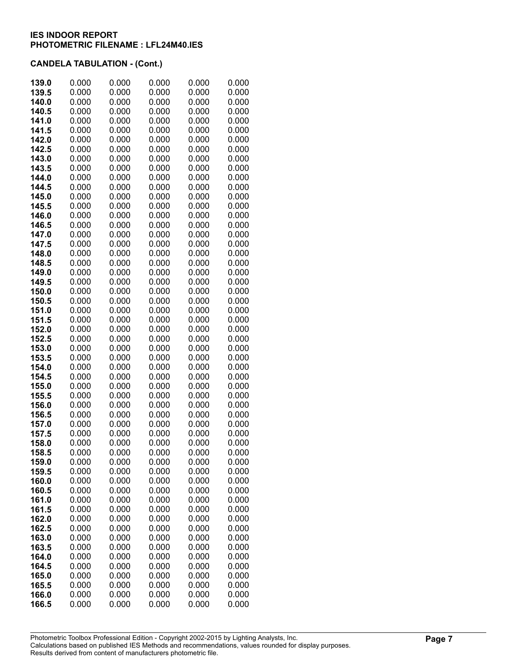| 139.0          | 0.000          | 0.000          | 0.000          | 0.000          | 0.000          |
|----------------|----------------|----------------|----------------|----------------|----------------|
| 139.5          | 0.000          | 0.000          | 0.000          | 0.000          | 0.000          |
| 140.0          | 0.000          | 0.000          | 0.000          | 0.000          | 0.000          |
| 140.5          | 0.000          | 0.000          | 0.000          | 0.000          | 0.000          |
| 141.0          | 0.000          | 0.000          | 0.000          | 0.000          | 0.000          |
| 141.5          | 0.000          | 0.000          | 0.000          | 0.000          | 0.000          |
| 142.0          | 0.000<br>0.000 | 0.000          | 0.000<br>0.000 | 0.000          | 0.000          |
| 142.5<br>143.0 | 0.000          | 0.000<br>0.000 | 0.000          | 0.000<br>0.000 | 0.000<br>0.000 |
| 143.5          | 0.000          | 0.000          | 0.000          | 0.000          | 0.000          |
| 144.0          | 0.000          | 0.000          | 0.000          | 0.000          | 0.000          |
| 144.5          | 0.000          | 0.000          | 0.000          | 0.000          | 0.000          |
| 145.0          | 0.000          | 0.000          | 0.000          | 0.000          | 0.000          |
| 145.5          | 0.000          | 0.000          | 0.000          | 0.000          | 0.000          |
| 146.0          | 0.000          | 0.000          | 0.000          | 0.000          | 0.000          |
| 146.5          | 0.000          | 0.000          | 0.000          | 0.000          | 0.000          |
| 147.0          | 0.000          | 0.000          | 0.000          | 0.000          | 0.000          |
| 147.5          | 0.000          | 0.000          | 0.000          | 0.000          | 0.000          |
| 148.0          | 0.000          | 0.000          | 0.000          | 0.000          | 0.000          |
| 148.5          | 0.000          | 0.000          | 0.000          | 0.000          | 0.000          |
| 149.0          | 0.000          | 0.000          | 0.000          | 0.000          | 0.000          |
| 149.5          | 0.000          | 0.000          | 0.000          | 0.000          | 0.000          |
| 150.0          | 0.000          | 0.000          | 0.000          | 0.000          | 0.000          |
| 150.5<br>151.0 | 0.000<br>0.000 | 0.000<br>0.000 | 0.000<br>0.000 | 0.000<br>0.000 | 0.000<br>0.000 |
| 151.5          | 0.000          | 0.000          | 0.000          | 0.000          | 0.000          |
| 152.0          | 0.000          | 0.000          | 0.000          | 0.000          | 0.000          |
| 152.5          | 0.000          | 0.000          | 0.000          | 0.000          | 0.000          |
| 153.0          | 0.000          | 0.000          | 0.000          | 0.000          | 0.000          |
| 153.5          | 0.000          | 0.000          | 0.000          | 0.000          | 0.000          |
| 154.0          | 0.000          | 0.000          | 0.000          | 0.000          | 0.000          |
| 154.5          | 0.000          | 0.000          | 0.000          | 0.000          | 0.000          |
| 155.0          | 0.000          | 0.000          | 0.000          | 0.000          | 0.000          |
| 155.5          | 0.000          | 0.000          | 0.000          | 0.000          | 0.000          |
| 156.0          | 0.000          | 0.000          | 0.000          | 0.000          | 0.000          |
| 156.5          | 0.000          | 0.000          | 0.000          | 0.000          | 0.000          |
| 157.0          | 0.000          | 0.000          | 0.000          | 0.000          | 0.000          |
| 157.5<br>158.0 | 0.000<br>0.000 | 0.000<br>0.000 | 0.000<br>0.000 | 0.000<br>0.000 | 0.000<br>0.000 |
| 158.5          | 0.000          | 0.000          | 0.000          | 0.000          | 0.000          |
| 159.0          | 0.000          | 0.000          | 0.000          | 0.000          | 0.000          |
| 159.5          | 0.000          | 0.000          | 0.000          | 0.000          | 0.000          |
| 160.0          | 0.000          | 0.000          | 0.000          | 0.000          | 0.000          |
| 160.5          | 0.000          | 0.000          | 0.000          | 0.000          | 0.000          |
| 161.0          | 0.000          | 0.000          | 0.000          | 0.000          | 0.000          |
| 161.5          | 0.000          | 0.000          | 0.000          | 0.000          | 0.000          |
| 162.0          | 0.000          | 0.000          | 0.000          | 0.000          | 0.000          |
| 162.5          | 0.000          | 0.000          | 0.000          | 0.000          | 0.000          |
| 163.0          | 0.000          | 0.000          | 0.000          | 0.000          | 0.000          |
| 163.5          | 0.000          | 0.000          | 0.000          | 0.000          | 0.000          |
| 164.0          | 0.000          | 0.000          | 0.000          | 0.000          | 0.000          |
| 164.5          | 0.000          | 0.000          | 0.000          | 0.000<br>0.000 | 0.000<br>0.000 |
| 165.0<br>165.5 | 0.000<br>0.000 | 0.000<br>0.000 | 0.000<br>0.000 | 0.000          | 0.000          |
| 166.0          | 0.000          | 0.000          | 0.000          | 0.000          | 0.000          |
| 166.5          | 0.000          | 0.000          | 0.000          | 0.000          | 0.000          |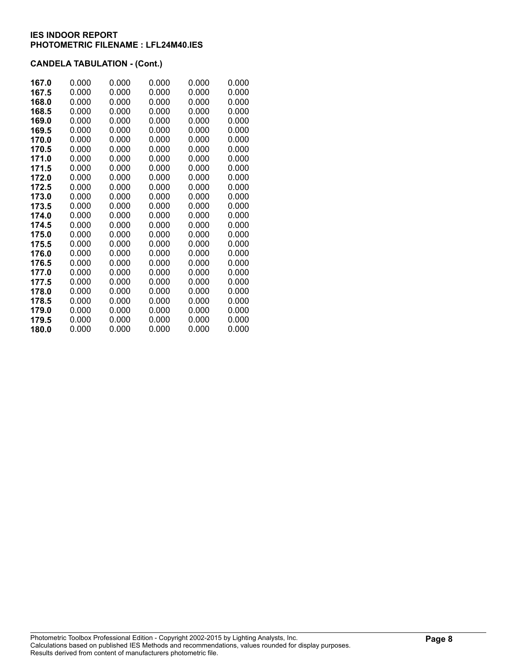| 167.0 | 0.000 | 0.000 | 0.000 | 0.000 | 0.000 |
|-------|-------|-------|-------|-------|-------|
| 167.5 | 0.000 | 0.000 | 0.000 | 0.000 | 0.000 |
| 168.0 | 0.000 | 0.000 | 0.000 | 0.000 | 0.000 |
| 168.5 | 0.000 | 0.000 | 0.000 | 0.000 | 0.000 |
| 169.0 | 0.000 | 0.000 | 0.000 | 0.000 | 0.000 |
| 169.5 | 0.000 | 0.000 | 0.000 | 0.000 | 0.000 |
| 170.0 | 0.000 | 0.000 | 0.000 | 0.000 | 0.000 |
| 170.5 | 0.000 | 0.000 | 0.000 | 0.000 | 0.000 |
| 171.0 | 0.000 | 0.000 | 0.000 | 0.000 | 0.000 |
| 171.5 | 0.000 | 0.000 | 0.000 | 0.000 | 0.000 |
| 172.0 | 0.000 | 0.000 | 0.000 | 0.000 | 0.000 |
| 172.5 | 0.000 | 0.000 | 0.000 | 0.000 | 0.000 |
| 173.0 | 0.000 | 0.000 | 0.000 | 0.000 | 0.000 |
| 173.5 | 0.000 | 0.000 | 0.000 | 0.000 | 0.000 |
| 174.0 | 0.000 | 0.000 | 0.000 | 0.000 | 0.000 |
| 174.5 | 0.000 | 0.000 | 0.000 | 0.000 | 0.000 |
| 175.0 | 0.000 | 0.000 | 0.000 | 0.000 | 0.000 |
| 175.5 | 0.000 | 0.000 | 0.000 | 0.000 | 0.000 |
| 176.0 | 0.000 | 0.000 | 0.000 | 0.000 | 0.000 |
| 176.5 | 0.000 | 0.000 | 0.000 | 0.000 | 0.000 |
| 177.0 | 0.000 | 0.000 | 0.000 | 0.000 | 0.000 |
| 177.5 | 0.000 | 0.000 | 0.000 | 0.000 | 0.000 |
| 178.0 | 0.000 | 0.000 | 0.000 | 0.000 | 0.000 |
| 178.5 | 0.000 | 0.000 | 0.000 | 0.000 | 0.000 |
| 179.0 | 0.000 | 0.000 | 0.000 | 0.000 | 0.000 |
| 179.5 | 0.000 | 0.000 | 0.000 | 0.000 | 0.000 |
| 180.0 | 0.000 | 0.000 | 0.000 | 0.000 | 0.000 |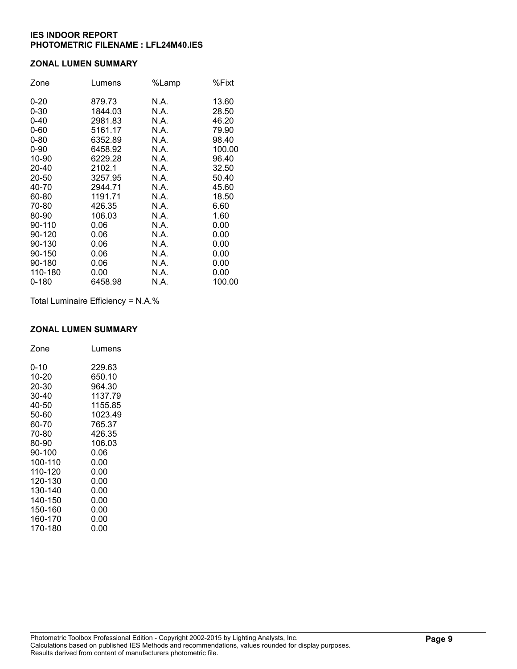### **ZONAL LUMEN SUMMARY**

| Zone      | Lumens  | %Lamp | %Fixt  |
|-----------|---------|-------|--------|
| $0 - 20$  | 879.73  | N.A.  | 13.60  |
| $0 - 30$  | 1844.03 | N.A.  | 28.50  |
| $0 - 40$  | 2981.83 | N.A.  | 46.20  |
| $0 - 60$  | 5161.17 | N.A.  | 79.90  |
| $0 - 80$  | 6352.89 | N.A.  | 98.40  |
| $0 - 90$  | 6458.92 | N.A.  | 100.00 |
| 10-90     | 6229.28 | N.A.  | 96.40  |
| 20-40     | 2102.1  | N.A.  | 32.50  |
| 20-50     | 3257.95 | N.A.  | 50.40  |
| 40-70     | 2944.71 | N.A.  | 45.60  |
| 60-80     | 1191.71 | N.A.  | 18.50  |
| 70-80     | 426.35  | N.A.  | 6.60   |
| 80-90     | 106.03  | N.A.  | 1.60   |
| 90-110    | 0.06    | N.A.  | 0.00   |
| 90-120    | 0.06    | N.A.  | 0.00   |
| 90-130    | 0.06    | N.A.  | 0.00   |
| 90-150    | 0.06    | N.A.  | 0.00   |
| 90-180    | 0.06    | N.A.  | 0.00   |
| 110-180   | 0.00    | N.A.  | 0.00   |
| $0 - 180$ | 6458.98 | N.A.  | 100.00 |

Total Luminaire Efficiency = N.A.%

#### **ZONAL LUMEN SUMMARY**

| Zone    | Lumens  |
|---------|---------|
| 0-10    | 229.63  |
| 10-20   | 650.10  |
| 20-30   | 964.30  |
| 30-40   | 1137.79 |
| 40-50   | 1155.85 |
| 50-60   | 1023.49 |
| 60-70   | 765.37  |
| 70-80   | 426.35  |
| 80-90   | 106.03  |
| 90-100  | 0.06    |
| 100-110 | 0.00    |
| 110-120 | 0.00    |
| 120-130 | 0.00    |
| 130-140 | 0.00    |
| 140-150 | 0.00    |
| 150-160 | 0.00    |
| 160-170 | 0.00    |
| 170-180 | 0.00    |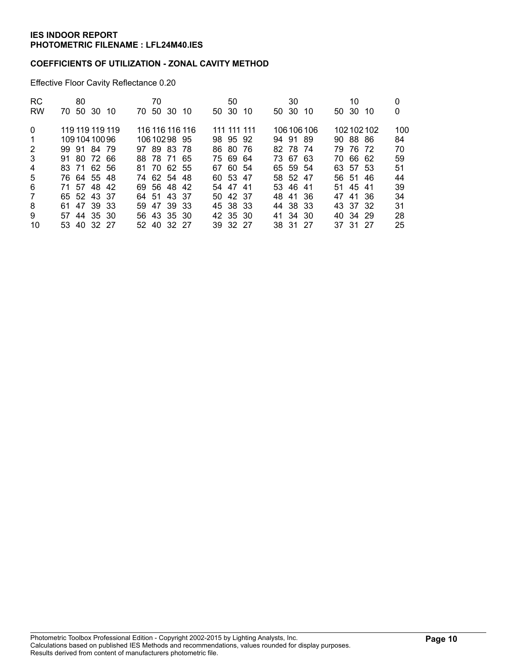### **COEFFICIENTS OF UTILIZATION - ZONAL CAVITY METHOD**

Effective Floor Cavity Reflectance 0.20

| RC.<br><b>RW</b>                          | 80<br>70 50 30 10                             | 70<br>70.                                     | 50 30 10 |  | 50<br>50 30                         | -10 | 30<br>50 30          | 10        |       | 10<br>50 30 10       |           | 0<br>0          |
|-------------------------------------------|-----------------------------------------------|-----------------------------------------------|----------|--|-------------------------------------|-----|----------------------|-----------|-------|----------------------|-----------|-----------------|
| $\Omega$<br>$\mathbf 1$<br>$\overline{2}$ | 119 119 119 119<br>10910410096<br>99 91 84 79 | 116 116 116 116<br>10610298 95<br>97 89 83 78 |          |  | 111 111 111<br>98 95 92<br>86 80 76 |     | 94 91 89<br>82 78 74 | 106106106 |       | 90 88 86<br>79 76 72 | 102102102 | 100<br>84<br>70 |
| 3<br>4                                    | 91 80 72 66<br>83 71 62 56                    | 88 78 71 65<br>81 70 62 55                    |          |  | 75 69 64<br>67 60 54                |     | 73 67 63<br>65 59 54 |           |       | 70 66 62<br>63 57 53 |           | 59<br>51        |
| 5                                         | 76 64 55 48                                   | 74 62 54 48                                   |          |  | 60 53 47                            |     | 58 52 47             |           | 56 51 |                      | -46       | 44              |
| 6                                         | 71 57 48 42                                   | 69 56 48 42                                   |          |  | 54 47 41                            |     | 53 46 41             |           |       | 51 45 41             |           | 39              |
| $\overline{7}$                            | 65 52 43 37                                   | 64 51 43 37                                   |          |  | 50 42 37                            |     | 48 41 36             |           |       | 47 41 36             |           | 34              |
| 8                                         | 61 47 39 33                                   | 59 47 39 33                                   |          |  | 45 38 33                            |     | 44 38 33             |           |       | 43 37 32             |           | 31              |
| 9                                         | 57 44 35 30                                   | 56 43 35 30                                   |          |  | 42 35 30                            |     | 41 34 30             |           |       | 40 34 29             |           | 28              |
| 10                                        | 53 40 32 27                                   | 52 40 32 27                                   |          |  | 39 32 27                            |     | 38 31 27             |           |       | 37 31 27             |           | 25              |